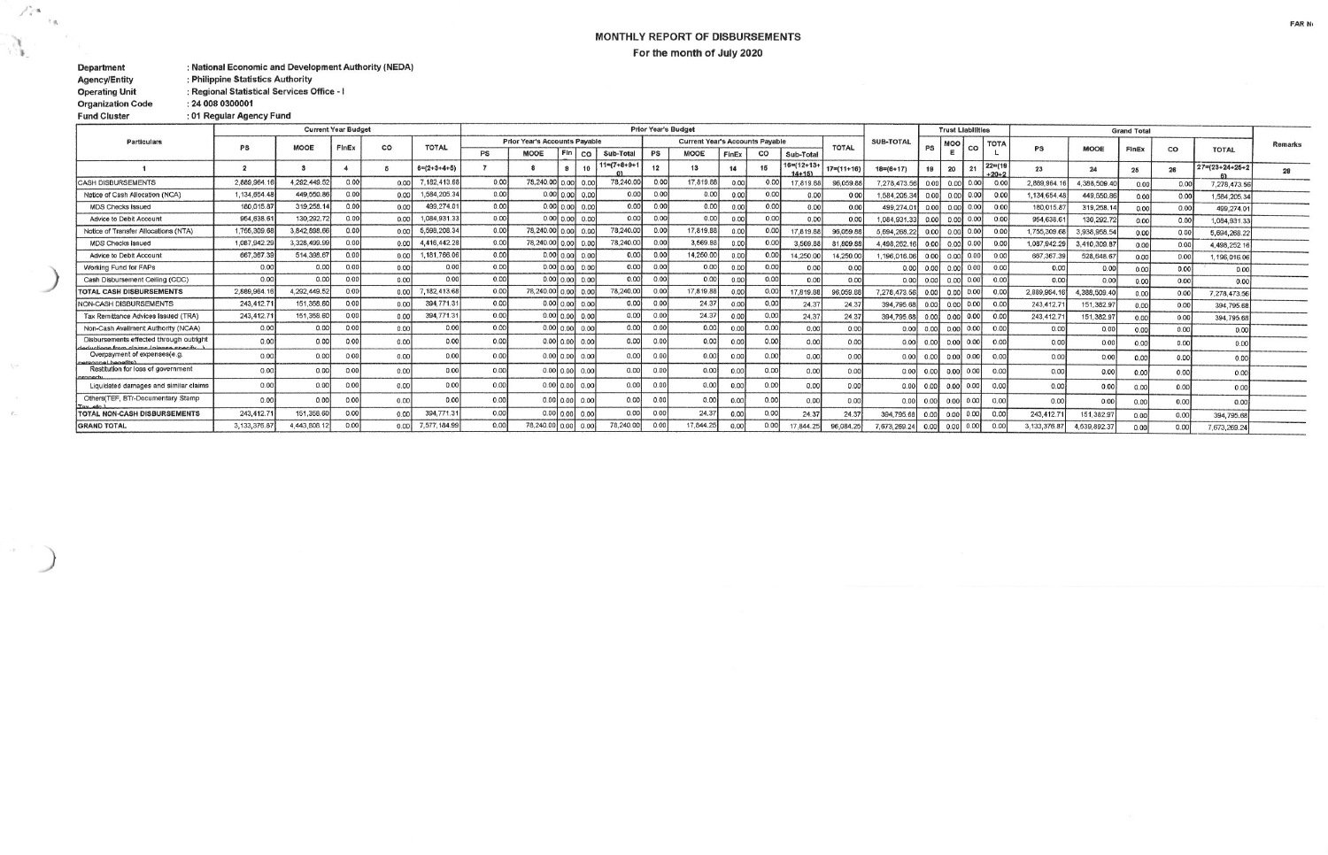## MONTHLY REPORT OF DISBURSEMENTS For the month of July 2020

: National Economic and Development Authority (NEDA) Department **Agency/Entity**<br>Operating Unit : Philippine Statistics Authority : Regional Statistical Services Office - I

 $: 240080300001$ **Organization Code** 

**Fund Cluster** : 01 Regular Agency Fund

 $\mathcal{L}^{\mathbf{a}}_{\mathbf{a}}$ 

'n

 $\epsilon.$ 

 $\sim$   $\gtrsim$ 

78

| Particulars                                                                         | <b>Current Year Budget</b> |              |       |       |               | <b>Prior Year's Budget</b>    |                |                     |           |                              |                                        |       |              |                | <b>Trust Liabilities</b>        |                  |                 |               | <b>Grand Total</b> |             |                     |              |              |              |      |                           |                |
|-------------------------------------------------------------------------------------|----------------------------|--------------|-------|-------|---------------|-------------------------------|----------------|---------------------|-----------|------------------------------|----------------------------------------|-------|--------------|----------------|---------------------------------|------------------|-----------------|---------------|--------------------|-------------|---------------------|--------------|--------------|--------------|------|---------------------------|----------------|
|                                                                                     | PS                         | MOOE         | FinEx | CO    | <b>TOTAL</b>  | Prior Year's Accounts Payable |                |                     |           |                              | <b>Current Year's Accounts Pavable</b> |       |              |                |                                 | <b>TOTAL</b>     | SUB-TOTAL       | PS            | OOM                | CO          | TOT/                |              |              |              |      |                           | <b>Remarks</b> |
|                                                                                     |                            |              |       |       |               | PS                            | MOOE           | Fin                 | <b>CO</b> | PS<br>Sub-Total              | MOOE                                   |       | <b>FinEx</b> | co             | Sub-Total                       |                  |                 |               |                    |             |                     | PS           | MOOE         | <b>FinEx</b> | CO   | <b>TOTAL</b>              |                |
|                                                                                     | $\overline{2}$             |              |       |       | $6=(2+3+4+5)$ |                               |                |                     | 10        | $11 = (7 + 8 + 9 + 1)$<br>12 | 13                                     |       | 14           | 15             | $16 = (12 + 13 +$<br>$14 + 151$ | $17 = (11 + 16)$ | $18 = (6 + 17)$ | 19            | 20                 | 21          | $22π$ (1<br>$+20+2$ | 23           | 24           | 25           | 26   | $27 = (23 + 24 + 25 + 2)$ |                |
| <b>CASH DISBURSEMENTS</b>                                                           | 2,889,964.1                | 4.292.449.5  | 0.00  | 0.00  | 7,182,413.6   | 0.00                          | 78,240,00      | $0.00$ 0.00         |           | 78,240.00                    | 17,819.88<br>0.00                      |       | 0.00         | 0.00           | 17,819.88                       | 96,059.88        | 7,278,473.56    | 0.00          | 0.00               | 0.00        | 0.00                | 2,889,964.   | 4,388,509.40 | 0.00         | 0.00 | 7.278.473.56              |                |
| Notice of Cash Allocation (NCA)                                                     | 1, 134, 654.48             | 449,550.86   | 0.00  | 0.00  | 1.584.205.34  | 0.00                          |                | $0.00$ 0.00 0.00    |           | 0.00                         | 0.00                                   | 0.001 | 0.00         | 0.00           | 0.00                            | 0.00             | 584, 205, 34    | 0.001         | 0.00               | 0.00        | 0.00                | 1,134,654.48 | 449.550.86   | 0.00         | 0.00 | 1,584,205,34              |                |
| <b>MDS Checks Issued</b>                                                            | 180,015.87                 | 319,258.14   | 0.00  | 0.00  | 499,274.0     | 0.00                          |                | $0.00$ 0.00 0.00    |           | 0.00                         | 0.00                                   | 0.00  | 0.OC         | 0.00           | 0.00                            | 0.00             | 499,274.0       | 0.00          | 0.00               | 0.00        | 0.00                | 180,015.87   | 319,258.14   | 0.00         | 0.00 | 499,274.01                |                |
| <b>Advice to Debit Account</b>                                                      | 954,638.61                 | 130,292.72   | 0.00  | 0.00  | 1.084,931.33  | 0.00                          | 0.00           | 0.00 0.00           |           | 0.00                         | 0.00                                   | 0.00  | 0.00         | 0.00           | 0.00                            | 0.00             | .084.931.33     | 0.00          | 0.00               | 0.001       | 0.00                | 954.638.6    | 130,292.72   | 0.00         | 0.00 | 1.084.931.3               |                |
| Notice of Transfer Allocations (NTA)                                                | 1,755,309.68               | 3.842.898.66 | 0.00  | 0.00  | 5,598,208.34  | 0.00                          | 78,240.00      | 0.00 0.00           |           | 78,240.00                    | 0.00<br>17,819,88                      |       | 0.00         | 0.00           | 17.819.88                       | 96,059.8         | 5,694,268.22    | 0.00          | 0.00               | 0.001       | 0.00                | 1,755,309.6  | 3,938,958.54 | 0.00         | 0.00 | 5.694.268.22              |                |
| <b>MDS Checks Issued</b>                                                            | 1,087,942.29               | 3.328,499.99 | 0.00  | 0.00  | 4,416,442.28  | 0.00                          | 78,240.00      | 0.00 0.00           |           | 78,240.00                    | 0.00<br>3,569.88                       |       | 0.00         | 0.00           | 3,569.88                        | 81,809.8         | 1,498,252.16    | 0.00          | 0.00               | 0.001       | 0.0                 | 1,087,942.29 | 3,410,309.8  | 0.00         | 0.00 | 4.498.252.16              |                |
| Advice to Debit Account                                                             | 667,367.39                 | 514,398.6    | 0.00  | 0.00  | 1,181,766.06  | 0.00                          |                | $0.00$ 0.00 0.00    |           | 0.00                         | 0.00<br>14,250.00                      |       | 0.001        | 0.00           | 4.250.00                        | 14,250.0         | ,196,016.06     | 0.00          |                    | $0.00$ 0.00 | 0.0                 | 667,367.39   | 528,648.67   | 0.00         | 0.00 | 196,016.06                |                |
| Working Fund for FAPs                                                               | 0.00                       | 0.00         | 0.00  | 0.00  | 0.00          | 0.00                          |                | 0.00   0.00   0.00  |           | 0.00                         | 0.00                                   | 0.001 |              | 0.00           | 0.00                            | 0 <sup>0</sup>   |                 | $0.00$ 0.00   | 0.00               | 0.00        | 0.00                | 0.00         | 0.00         | 0.00         | 0.00 | 0.00                      |                |
| Cash Disbursement Ceiling (CDC)                                                     | 0.00                       | 0.00         | 0.00  | 0.00  | 0.00          | 0.00                          |                | $0.00[0.00]$ $0.00$ |           | 0.00                         | 0.00                                   | 0.001 | 0.001        | 0.00           | 0.00                            | 0.00             |                 | $0.00$ $0.00$ | 0.00               | 0.001       | 0.0                 | 0.00         | 0.00         | 0.00         | 0.00 | 0.00                      |                |
| <b>TOTAL CASH DISBURSEMENTS</b>                                                     | 2,889,964.                 | 4.292.449.52 | 0.00  | 0.001 | 7,182,413.68  | 0.00                          | 78,240,00      | 0.001               | 0.00      | 78,240.00                    | 0.00<br>17,819.88                      |       | 0.001        | 0.00           | 17,819.88                       | 96,059.8         | 278 473 56      | 0.00          | 0.001              | 0.00        | 0.0                 | 2,889,964.   | 4.388.509.40 | 0.00         | 0.00 | 7,278,473.56              |                |
| NON-CASH DISBURSEMENTS                                                              | 243,412.7                  | 151,358.60   | 0.00  | 0.00  | 394,771.3     | 0.00                          |                | 0.00   0.00   0.00  |           | 0.00                         | 0.00                                   | 24.37 | 0.001        | 0.00           | 24.37                           | 24.3             | 394,795.6       | 0.00          | 0.001              | 0.00        | 0.00                | 243.412.7    | 151,382.97   | 0.00         | 0.00 | 394 795.68                |                |
| Tax Remittance Advices Issued (TRA)                                                 | 243.412.7                  | 151,358.60   | 0.00  | 0.00  | 394,771.3     | 0.00                          | 0.00           | 0.00                | 0.00      | 0.00                         | 0.00                                   | 24.37 |              | 0.00           | 24.37                           | 24.3             | 394,795.68      | 0.00          | 0.00               | 0.00        | 0.00                | 243.412.7    | 151,382.97   | 0.00         | 0.00 | 394,795.68                |                |
| Non-Cash Availment Authority (NCAA)                                                 | 0.00                       | 0.00         | 0.00  | 0.00  | 0.00          | 0.00                          | 0.00[0.00]     |                     | 0.00      | 0.00                         | 0.00                                   | 0.00  | 0.001        | 0.00           | 0.00                            | 0.00             | 0.00            | 0.00          | 0.00               | 0.00        | 0.00                | 0.00         | 0.00         | 0.00         | 0.00 | 0.00                      |                |
| Disbursements effected through outright<br>deductione from claime (plases engeify ) | 0.00                       | 0.001        | 0.00  | 0.00  | 0.00          | 0.00                          |                | $0.00$ 0.00 0.00    |           | 0.00                         | 0.00                                   | 0.00  |              | 0 <sup>o</sup> | 0.00                            | 0.00             | 0.00            | 0.00          | 0.00               | 0.00        | 0.00                | 0.00         | 0.00         | 0.00         | 0.00 | 0.00                      |                |
| Overpayment of expenses(e.g.                                                        | 0.00                       | 0.00         | 0.00  | 0.00  | 0.00          | 0.00                          |                | $0.00$ 0.00 0.00    |           | 0.00                         | 0.00                                   | 0.001 |              | 0.00           | 0.00                            | 0.00             | 0.00            | 0.00          | 0.00               | 0.00        | 0.00                | 0.00         | 0.00         | 0.00         | 0.00 | 0.01                      |                |
| Restitution for loss of government                                                  | 0.00                       | 0.00         | 0.00  | 0.00  | 0.00          | 0.00                          |                | 0.00 0.00           | 0.00      | 0.00                         | 0.00                                   | 0.00  |              | 0.0            | 0.00                            | 0.00             | 0.001           | 0.00          | 0.001              | 0.00        | 0.00                | 0.00         | 0.00         | 0.00         | 0.00 | 0.00                      |                |
| Liquidated damages and similar claims                                               | 0.00                       | 0.00         | 0.0   | 0.00  | 0.00          | 0.00                          | 0.00   0.00    |                     | 0.00      | 0.00                         | 0.00                                   | 0.00  |              | 0.00           | 0.00                            | 0.00             | 0.00            | 0.00          | 0.00               | 0.00        | 0.00                | 0.00         | 0.00         | 0.00         | 0.00 | 0.00                      |                |
| Others(TEF, BTr-Documentary Stamp                                                   | 0.00                       | 0.00         | 0.00  | 0.00  | 0.00          | 0.00                          |                | $0.00$ 0.00 0.00    |           | 0.00                         | 0.00                                   | 0.00  | 0.OO I       | 0.00           | 0.00                            | 0.00             | 0.00            | 0.00          | 0.00               | 0.00        | 0.00                | 0.00         | 0.00         | 0.00         | 0.00 | 0.0                       |                |
| TOTAL NON-CASH DISBURSEMENTS                                                        | 243,412.7                  | 151,358.60   | 0.00  | 0.00  | 394,771.3     | 0.00                          | 0.00   0.00    |                     | 0.00      | 0.00                         | 0.00                                   | 24.3  | 0.00         | 0.00           | 24.37                           | 24.3             | 394,795.68      | 0.001         | 0.00               | 0.00        | 0.00                | 243,412.7    | 151.382.9    | 0.00         | 0.00 | 394,795.68                |                |
| <b>GRAND TOTAL</b>                                                                  | 3, 133, 376.87             | 4.443.808.1  | 0.00  | 0.001 | 7,577,184.9   | 0.00                          | 78,240.00 0.00 |                     | 0.00      | 78,240.00                    | 0.00<br>17,844.25                      |       |              | 0.001          | 1784425                         |                  | 673.269.2       | 0.00          |                    | 0.00        | 0.00                | 3 133 376 8  | 4.539.892.37 | 0.00         |      | 673.269.2                 |                |